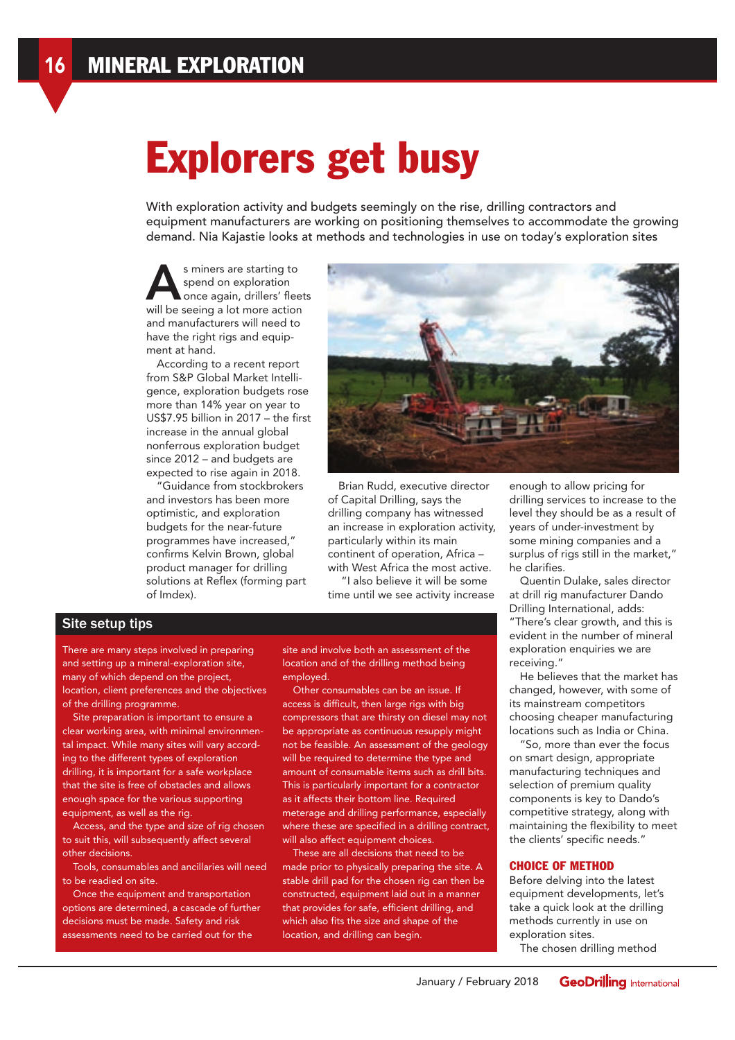# Explorers get busy

With exploration activity and budgets seemingly on the rise, drilling contractors and equipment manufacturers are working on positioning themselves to accommodate the growing demand. Nia Kajastie looks at methods and technologies in use on today's exploration sites

s miners are starting to<br>spend on exploration<br>once again. drillers' flee spend on exploration once again, drillers' fleets will be seeing a lot more action and manufacturers will need to have the right rigs and equipment at hand.

According to a recent report from S&P Global Market Intelligence, exploration budgets rose more than 14% year on year to US\$7.95 billion in 2017 – the first increase in the annual global nonferrous exploration budget since 2012 – and budgets are expected to rise again in 2018.

"Guidance from stockbrokers and investors has been more optimistic, and exploration budgets for the near-future programmes have increased," confirms Kelvin Brown, global product manager for drilling solutions at Reflex (forming part of Imdex).



Brian Rudd, executive director of Capital Drilling, says the drilling company has witnessed an increase in exploration activity, particularly within its main continent of operation, Africa – with West Africa the most active.

 "I also believe it will be some time until we see activity increase

## Site setup tips

There are many steps involved in preparing and setting up a mineral-exploration site, many of which depend on the project, location, client preferences and the objectives of the drilling programme.

Site preparation is important to ensure a clear working area, with minimal environmental impact. While many sites will vary according to the different types of exploration drilling, it is important for a safe workplace that the site is free of obstacles and allows enough space for the various supporting equipment, as well as the rig.

Access, and the type and size of rig chosen to suit this, will subsequently affect several other decisions.

Tools, consumables and ancillaries will need to be readied on site.

Once the equipment and transportation options are determined, a cascade of further decisions must be made. Safety and risk assessments need to be carried out for the

site and involve both an assessment of the location and of the drilling method being employed.

Other consumables can be an issue. If access is difficult, then large rigs with big compressors that are thirsty on diesel may not be appropriate as continuous resupply might not be feasible. An assessment of the geology will be required to determine the type and amount of consumable items such as drill bits. This is particularly important for a contractor as it affects their bottom line. Required meterage and drilling performance, especially where these are specified in a drilling contract, will also affect equipment choices.

These are all decisions that need to be made prior to physically preparing the site. A stable drill pad for the chosen rig can then be constructed, equipment laid out in a manner that provides for safe, efficient drilling, and which also fits the size and shape of the location, and drilling can begin.

enough to allow pricing for drilling services to increase to the level they should be as a result of years of under-investment by some mining companies and a surplus of rigs still in the market," he clarifies.

Quentin Dulake, sales director at drill rig manufacturer Dando Drilling International, adds: "There's clear growth, and this is evident in the number of mineral exploration enquiries we are receiving."

He believes that the market has changed, however, with some of its mainstream competitors choosing cheaper manufacturing locations such as India or China.

"So, more than ever the focus on smart design, appropriate manufacturing techniques and selection of premium quality components is key to Dando's competitive strategy, along with maintaining the flexibility to meet the clients' specific needs."

#### CHOICE OF METHOD

Before delving into the latest equipment developments, let's take a quick look at the drilling methods currently in use on exploration sites.

The chosen drilling method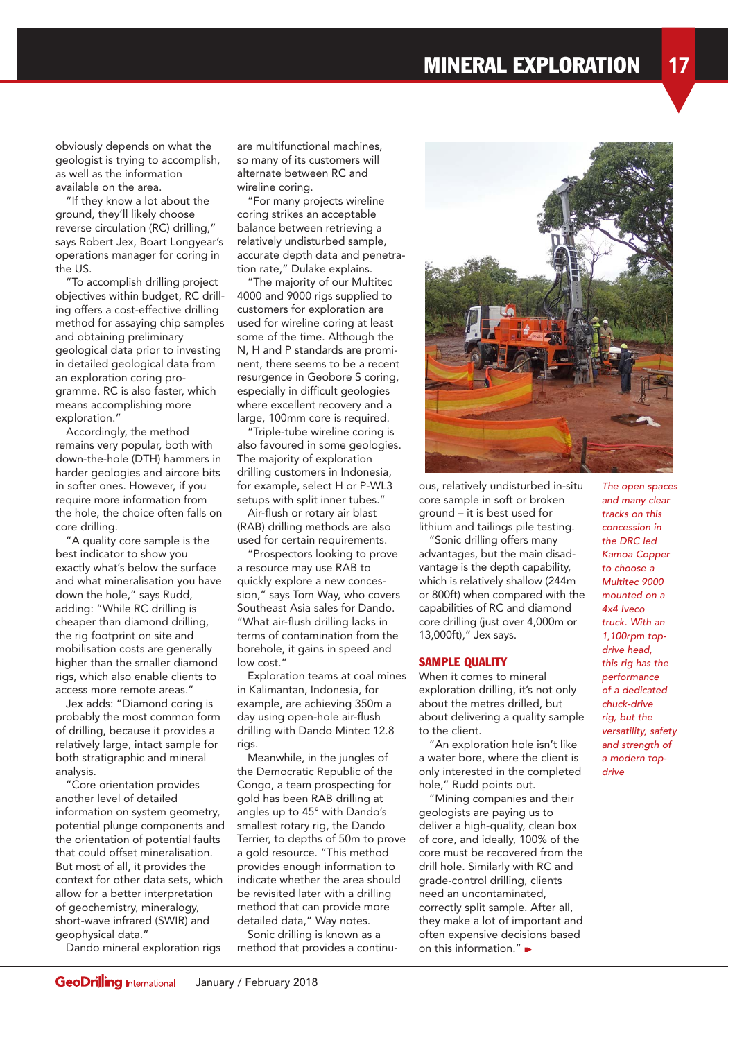obviously depends on what the geologist is trying to accomplish, as well as the information available on the area.

"If they know a lot about the ground, they'll likely choose reverse circulation (RC) drilling," says Robert Jex, Boart Longyear's operations manager for coring in the US.

"To accomplish drilling project objectives within budget, RC drilling offers a cost-effective drilling method for assaying chip samples and obtaining preliminary geological data prior to investing in detailed geological data from an exploration coring programme. RC is also faster, which means accomplishing more exploration."

Accordingly, the method remains very popular, both with down-the-hole (DTH) hammers in harder geologies and aircore bits in softer ones. However, if you require more information from the hole, the choice often falls on core drilling.

"A quality core sample is the best indicator to show you exactly what's below the surface and what mineralisation you have down the hole," says Rudd, adding: "While RC drilling is cheaper than diamond drilling, the rig footprint on site and mobilisation costs are generally higher than the smaller diamond rigs, which also enable clients to access more remote areas."

Jex adds: "Diamond coring is probably the most common form of drilling, because it provides a relatively large, intact sample for both stratigraphic and mineral analysis.

"Core orientation provides another level of detailed information on system geometry, potential plunge components and the orientation of potential faults that could offset mineralisation. But most of all, it provides the context for other data sets, which allow for a better interpretation of geochemistry, mineralogy, short-wave infrared (SWIR) and geophysical data."

Dando mineral exploration rigs

are multifunctional machines, so many of its customers will alternate between RC and wireline coring.

"For many projects wireline coring strikes an acceptable balance between retrieving a relatively undisturbed sample, accurate depth data and penetration rate," Dulake explains.

"The majority of our Multitec 4000 and 9000 rigs supplied to customers for exploration are used for wireline coring at least some of the time. Although the N, H and P standards are prominent, there seems to be a recent resurgence in Geobore S coring, especially in difficult geologies where excellent recovery and a large, 100mm core is required.

"Triple-tube wireline coring is also favoured in some geologies. The majority of exploration drilling customers in Indonesia, for example, select H or P-WL3 setups with split inner tubes."

Air-flush or rotary air blast (RAB) drilling methods are also used for certain requirements.

"Prospectors looking to prove a resource may use RAB to quickly explore a new concession," says Tom Way, who covers Southeast Asia sales for Dando. "What air-flush drilling lacks in terms of contamination from the borehole, it gains in speed and low cost."

Exploration teams at coal mines in Kalimantan, Indonesia, for example, are achieving 350m a day using open-hole air-flush drilling with Dando Mintec 12.8 rigs.

Meanwhile, in the jungles of the Democratic Republic of the Congo, a team prospecting for gold has been RAB drilling at angles up to 45° with Dando's smallest rotary rig, the Dando Terrier, to depths of 50m to prove a gold resource. "This method provides enough information to indicate whether the area should be revisited later with a drilling method that can provide more detailed data," Way notes.

Sonic drilling is known as a method that provides a continu-

ous, relatively undisturbed in-situ core sample in soft or broken ground – it is best used for lithium and tailings pile testing.

"Sonic drilling offers many advantages, but the main disadvantage is the depth capability, which is relatively shallow (244m or 800ft) when compared with the capabilities of RC and diamond core drilling (just over 4,000m or 13,000ft)," Jex says.

#### SAMPLE QUALITY

When it comes to mineral exploration drilling, it's not only about the metres drilled, but about delivering a quality sample to the client.

"An exploration hole isn't like a water bore, where the client is only interested in the completed hole," Rudd points out.

"Mining companies and their geologists are paying us to deliver a high-quality, clean box of core, and ideally, 100% of the core must be recovered from the drill hole. Similarly with RC and grade-control drilling, clients need an uncontaminated, correctly split sample. After all, they make a lot of important and often expensive decisions based on this information."

The open spaces and many clear tracks on this concession in the DRC led Kamoa Copper to choose a Multitec 9000 mounted on a  $A \vee A$  *Iveco* truck. With an 1,100rpm topdrive head, this rig has the performance of a dedicated chuck-drive rig, but the versatility, safety and strength of a modern topdrive

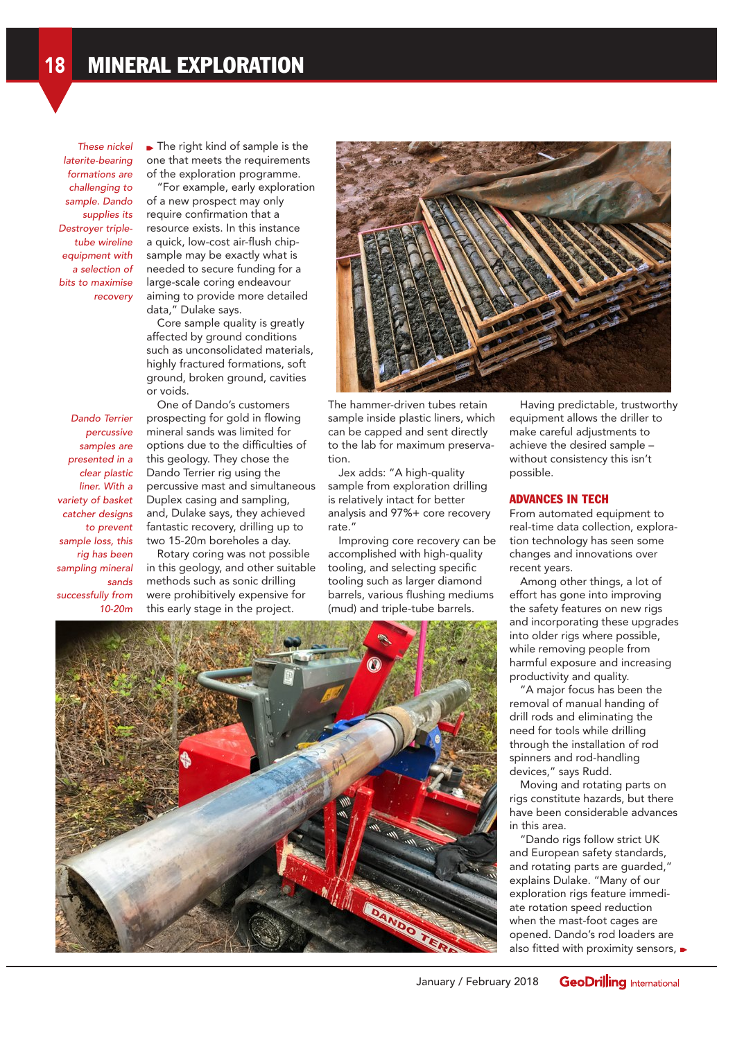These nickel laterite-bearing formations are challenging to sample. Dando supplies its Destroyer tripletube wireline equipment with a selection of bits to maximise recovery

The right kind of sample is the one that meets the requirements of the exploration programme.

"For example, early exploration of a new prospect may only require confirmation that a resource exists. In this instance a quick, low-cost air-flush chipsample may be exactly what is needed to secure funding for a large-scale coring endeavour aiming to provide more detailed data," Dulake says.

Core sample quality is greatly affected by ground conditions such as unconsolidated materials, highly fractured formations, soft ground, broken ground, cavities or voids.

Dando Terrier percussive samples are presented in a clear plastic liner. With a variety of basket catcher designs to prevent sample loss, this rig has been sampling mineral sands successfully from 10-20m

One of Dando's customers prospecting for gold in flowing mineral sands was limited for options due to the difficulties of this geology. They chose the Dando Terrier rig using the percussive mast and simultaneous Duplex casing and sampling, and, Dulake says, they achieved fantastic recovery, drilling up to two 15-20m boreholes a day.

Rotary coring was not possible in this geology, and other suitable methods such as sonic drilling were prohibitively expensive for this early stage in the project.



The hammer-driven tubes retain sample inside plastic liners, which can be capped and sent directly to the lab for maximum preservation.

Jex adds: "A high-quality sample from exploration drilling is relatively intact for better analysis and 97%+ core recovery rate."

Improving core recovery can be accomplished with high-quality tooling, and selecting specific tooling such as larger diamond barrels, various flushing mediums (mud) and triple-tube barrels.

Having predictable, trustworthy equipment allows the driller to make careful adjustments to achieve the desired sample – without consistency this isn't possible.

### ADVANCES IN TECH

From automated equipment to real-time data collection, exploration technology has seen some changes and innovations over recent years.

Among other things, a lot of effort has gone into improving the safety features on new rigs and incorporating these upgrades into older rigs where possible, while removing people from harmful exposure and increasing productivity and quality.

"A major focus has been the removal of manual handing of drill rods and eliminating the need for tools while drilling through the installation of rod spinners and rod-handling devices," says Rudd.

Moving and rotating parts on rigs constitute hazards, but there have been considerable advances in this area.

"Dando rigs follow strict UK and European safety standards, and rotating parts are guarded," explains Dulake. "Many of our exploration rigs feature immediate rotation speed reduction when the mast-foot cages are opened. Dando's rod loaders are also fitted with proximity sensors,  $\blacktriangleright$ 

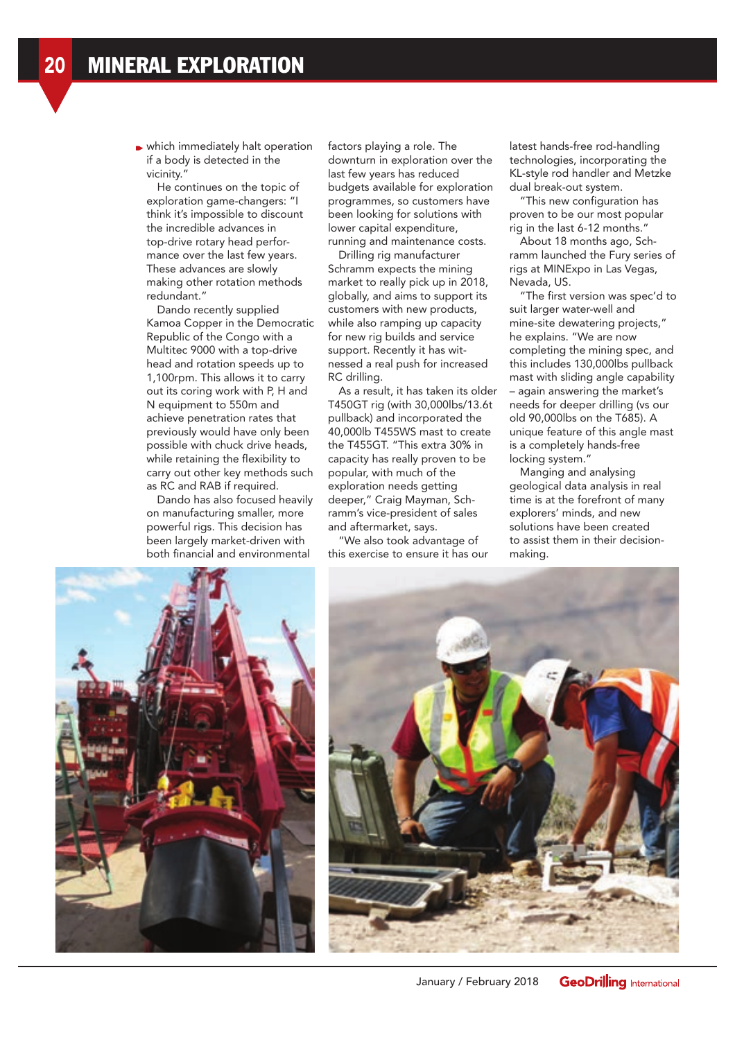which immediately halt operation if a body is detected in the vicinity."

He continues on the topic of exploration game-changers: "I think it's impossible to discount the incredible advances in top-drive rotary head performance over the last few years. These advances are slowly making other rotation methods redundant."

Dando recently supplied Kamoa Copper in the Democratic Republic of the Congo with a Multitec 9000 with a top-drive head and rotation speeds up to 1,100rpm. This allows it to carry out its coring work with P, H and N equipment to 550m and achieve penetration rates that previously would have only been possible with chuck drive heads, while retaining the flexibility to carry out other key methods such as RC and RAB if required.

Dando has also focused heavily on manufacturing smaller, more powerful rigs. This decision has been largely market-driven with both financial and environmental

factors playing a role. The downturn in exploration over the last few years has reduced budgets available for exploration programmes, so customers have been looking for solutions with lower capital expenditure, running and maintenance costs.

Drilling rig manufacturer Schramm expects the mining market to really pick up in 2018, globally, and aims to support its customers with new products, while also ramping up capacity for new rig builds and service support. Recently it has witnessed a real push for increased RC drilling.

As a result, it has taken its older T450GT rig (with 30,000lbs/13.6t pullback) and incorporated the 40,000lb T455WS mast to create the T455GT. "This extra 30% in capacity has really proven to be popular, with much of the exploration needs getting deeper," Craig Mayman, Schramm's vice-president of sales and aftermarket, says.

"We also took advantage of this exercise to ensure it has our latest hands-free rod-handling technologies, incorporating the KL-style rod handler and Metzke dual break-out system.

"This new configuration has proven to be our most popular rig in the last 6-12 months."

About 18 months ago, Schramm launched the Fury series of rigs at MINExpo in Las Vegas, Nevada, US.

"The first version was spec'd to suit larger water-well and mine-site dewatering projects," he explains. "We are now completing the mining spec, and this includes 130,000lbs pullback mast with sliding angle capability – again answering the market's needs for deeper drilling (vs our old 90,000lbs on the T685). A unique feature of this angle mast is a completely hands-free locking system."

Manging and analysing geological data analysis in real time is at the forefront of many explorers' minds, and new solutions have been created to assist them in their decisionmaking.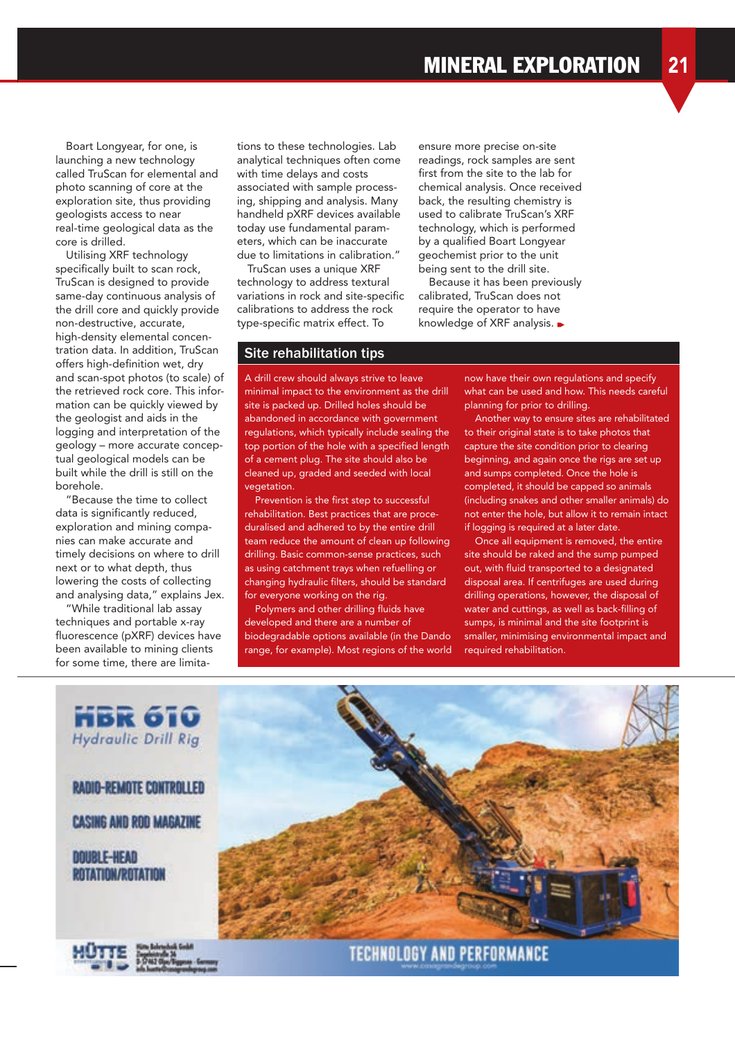Boart Longyear, for one, is launching a new technology called TruScan for elemental and photo scanning of core at the exploration site, thus providing geologists access to near real-time geological data as the core is drilled.

Utilising XRF technology specifically built to scan rock, TruScan is designed to provide same-day continuous analysis of the drill core and quickly provide non-destructive, accurate, high-density elemental concentration data. In addition, TruScan offers high-definition wet, dry and scan-spot photos (to scale) of the retrieved rock core. This information can be quickly viewed by the geologist and aids in the logging and interpretation of the geology – more accurate conceptual geological models can be built while the drill is still on the borehole.

"Because the time to collect data is significantly reduced, exploration and mining companies can make accurate and timely decisions on where to drill next or to what depth, thus lowering the costs of collecting and analysing data," explains Jex.

"While traditional lab assay techniques and portable x-ray fluorescence (pXRF) devices have been available to mining clients for some time, there are limita-

tions to these technologies. Lab analytical techniques often come with time delays and costs associated with sample processing, shipping and analysis. Many handheld pXRF devices available today use fundamental parameters, which can be inaccurate due to limitations in calibration."

TruScan uses a unique XRF technology to address textural variations in rock and site-specific calibrations to address the rock type-specific matrix effect. To

## Site rehabilitation tips

A drill crew should always strive to leave minimal impact to the environment as the drill site is packed up. Drilled holes should be abandoned in accordance with government regulations, which typically include sealing the top portion of the hole with a specified length of a cement plug. The site should also be cleaned up, graded and seeded with local vegetation.

Prevention is the first step to successful rehabilitation. Best practices that are proceduralised and adhered to by the entire drill team reduce the amount of clean up following drilling. Basic common-sense practices, such as using catchment trays when refuelling or changing hydraulic filters, should be standard for everyone working on the rig.

Polymers and other drilling fluids have developed and there are a number of biodegradable options available (in the Dando range, for example). Most regions of the world

ensure more precise on-site readings, rock samples are sent first from the site to the lab for chemical analysis. Once received back, the resulting chemistry is used to calibrate TruScan's XRF technology, which is performed by a qualified Boart Longyear geochemist prior to the unit being sent to the drill site.

Because it has been previously calibrated, TruScan does not require the operator to have knowledge of XRF analysis.  $\blacktriangleright$ 

> now have their own regulations and specify what can be used and how. This needs careful planning for prior to drilling.

> Another way to ensure sites are rehabilitated to their original state is to take photos that capture the site condition prior to clearing beginning, and again once the rigs are set up and sumps completed. Once the hole is completed, it should be capped so animals (including snakes and other smaller animals) do not enter the hole, but allow it to remain intact if logging is required at a later date.

Once all equipment is removed, the entire site should be raked and the sump pumped out, with fluid transported to a designated disposal area. If centrifuges are used during drilling operations, however, the disposal of water and cuttings, as well as back-filling of sumps, is minimal and the site footprint is smaller, minimising environmental impact and required rehabilitation.